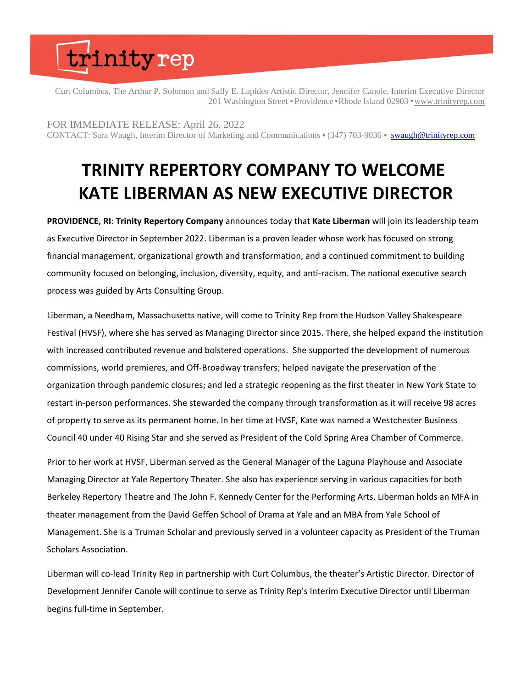## trinityrep

Curt Columbus, The Arthur P. Solomon and Sally E. Lapides Artistic Director, Jennifer Canole, Interim Executive Director 201 Washington Street • Providence • Rhode Island 02903 • [www.trinityrep.com](http://www.trinityrep.com/)

FOR IMMEDIATE RELEASE: April 26, 2022 CONTACT: Sara Waugh, Interim Director of Marketing and Communications • (347) 703-9036 • [swaugh@trinityrep.com](mailto:swaugh@trinityrep.com)

#### **TRINITY REPERTORY COMPANY TO WELCOME KATE LIBERMAN AS NEW EXECUTIVE DIRECTOR**

**PROVIDENCE, RI**: **Trinity Repertory Company** announces today that **Kate Liberman** will join its leadership team as Executive Director in September 2022. Liberman is a proven leader whose work has focused on strong financial management, organizational growth and transformation, and a continued commitment to building community focused on belonging, inclusion, diversity, equity, and anti-racism. The national executive search process was guided by Arts Consulting Group.

Liberman, a Needham, Massachusetts native, will come to Trinity Rep from the Hudson Valley Shakespeare Festival (HVSF), where she has served as Managing Director since 2015. There, she helped expand the institution with increased contributed revenue and bolstered operations. She supported the development of numerous commissions, world premieres, and Off-Broadway transfers; helped navigate the preservation of the organization through pandemic closures; and led a strategic reopening as the first theater in New York State to restart in-person performances. She stewarded the company through transformation as it will receive 98 acres of property to serve as its permanent home. In her time at HVSF, Kate was named a Westchester Business Council 40 under 40 Rising Star and she served as President of the Cold Spring Area Chamber of Commerce.

Prior to her work at HVSF, Liberman served as the General Manager of the Laguna Playhouse and Associate Managing Director at Yale Repertory Theater. She also has experience serving in various capacities for both Berkeley Repertory Theatre and The John F. Kennedy Center for the Performing Arts. Liberman holds an MFA in theater management from the David Geffen School of Drama at Yale and an MBA from Yale School of Management. She is a Truman Scholar and previously served in a volunteer capacity as President of the Truman Scholars Association.

Liberman will co-lead Trinity Rep in partnership with Curt Columbus, the theater's Artistic Director. Director of Development Jennifer Canole will continue to serve as Trinity Rep's Interim Executive Director until Liberman begins full-time in September.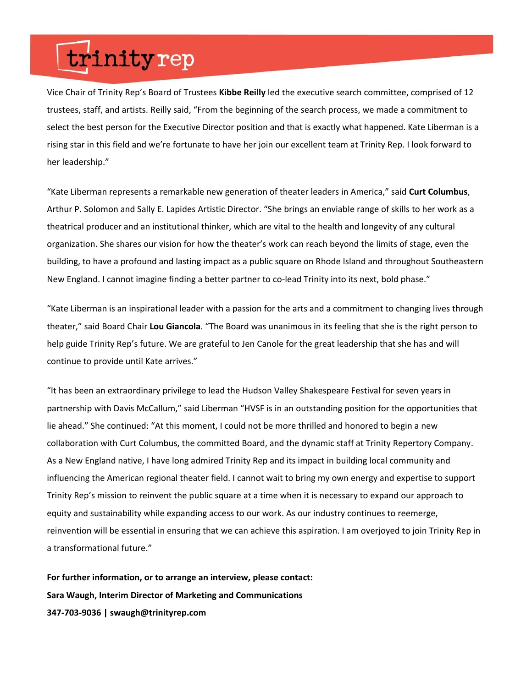### trinityrep

Vice Chair of Trinity Rep's Board of Trustees **Kibbe Reilly** led the executive search committee, comprised of 12 trustees, staff, and artists. Reilly said, "From the beginning of the search process, we made a commitment to select the best person for the Executive Director position and that is exactly what happened. Kate Liberman is a rising star in this field and we're fortunate to have her join our excellent team at Trinity Rep. I look forward to her leadership."

"Kate Liberman represents a remarkable new generation of theater leaders in America," said **Curt Columbus**, Arthur P. Solomon and Sally E. Lapides Artistic Director. "She brings an enviable range of skills to her work as a theatrical producer and an institutional thinker, which are vital to the health and longevity of any cultural organization. She shares our vision for how the theater's work can reach beyond the limits of stage, even the building, to have a profound and lasting impact as a public square on Rhode Island and throughout Southeastern New England. I cannot imagine finding a better partner to co-lead Trinity into its next, bold phase."

"Kate Liberman is an inspirational leader with a passion for the arts and a commitment to changing lives through theater," said Board Chair **Lou Giancola**. "The Board was unanimous in its feeling that she is the right person to help guide Trinity Rep's future. We are grateful to Jen Canole for the great leadership that she has and will continue to provide until Kate arrives."

"It has been an extraordinary privilege to lead the Hudson Valley Shakespeare Festival for seven years in partnership with Davis McCallum," said Liberman "HVSF is in an outstanding position for the opportunities that lie ahead." She continued: "At this moment, I could not be more thrilled and honored to begin a new collaboration with Curt Columbus, the committed Board, and the dynamic staff at Trinity Repertory Company. As a New England native, I have long admired Trinity Rep and its impact in building local community and influencing the American regional theater field. I cannot wait to bring my own energy and expertise to support Trinity Rep's mission to reinvent the public square at a time when it is necessary to expand our approach to equity and sustainability while expanding access to our work. As our industry continues to reemerge, reinvention will be essential in ensuring that we can achieve this aspiration. I am overjoyed to join Trinity Rep in a transformational future."

**For further information, or to arrange an interview, please contact: Sara Waugh, Interim Director of Marketing and Communications 347-703-9036 | swaugh@trinityrep.com**